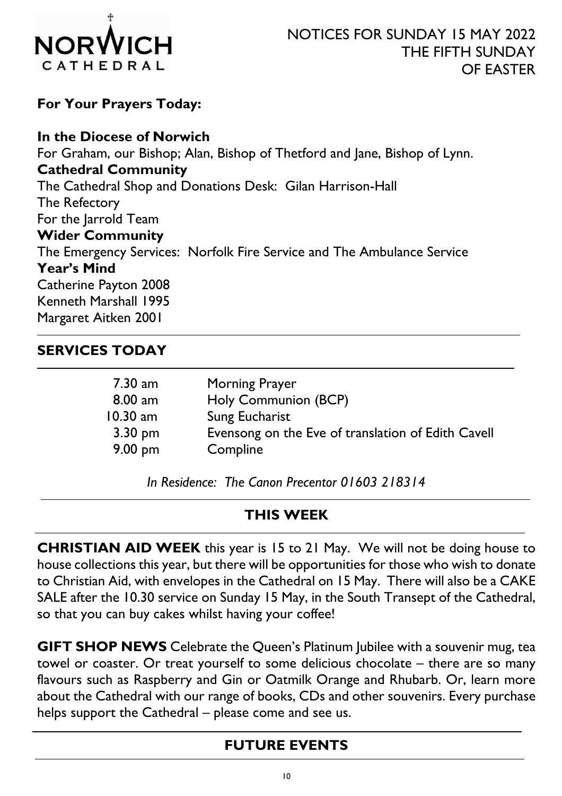

For Your Prayers Today:

In the Diocese of Norwich For Graham, our Bishop; Alan, Bishop of Thetford and Jane, Bishop of Lynn. Cathedral Community The Cathedral Shop and Donations Desk: Gilan Harrison-Hall The Refectory For the Jarrold Team Wider Community The Emergency Services: Norfolk Fire Service and The Ambulance Service Year's Mind Catherine Payton 2008 Kenneth Marshall 1995 Margaret Aitken 2001

### SERVICES TODAY

-

| 7.30 am<br>$8.00$ am | <b>Morning Prayer</b><br>Holy Communion (BCP)      |
|----------------------|----------------------------------------------------|
| $10.30$ am           | <b>Sung Eucharist</b>                              |
| $3.30 \text{ pm}$    | Evensong on the Eve of translation of Edith Cavell |
| $9.00 \text{ pm}$    | Compline                                           |

In Residence: The Canon Precentor 01603 218314

### THIS WEEK

CHRISTIAN AID WEEK this year is 15 to 21 May. We will not be doing house to house collections this year, but there will be opportunities for those who wish to donate to Christian Aid, with envelopes in the Cathedral on 15 May. There will also be a CAKE SALE after the 10.30 service on Sunday 15 May, in the South Transept of the Cathedral, so that you can buy cakes whilst having your coffee!

GIFT SHOP NEWS Celebrate the Queen's Platinum Jubilee with a souvenir mug, tea towel or coaster. Or treat yourself to some delicious chocolate – there are so many flavours such as Raspberry and Gin or Oatmilk Orange and Rhubarb. Or, learn more about the Cathedral with our range of books, CDs and other souvenirs. Every purchase helps support the Cathedral – please come and see us.

## FUTURE EVENTS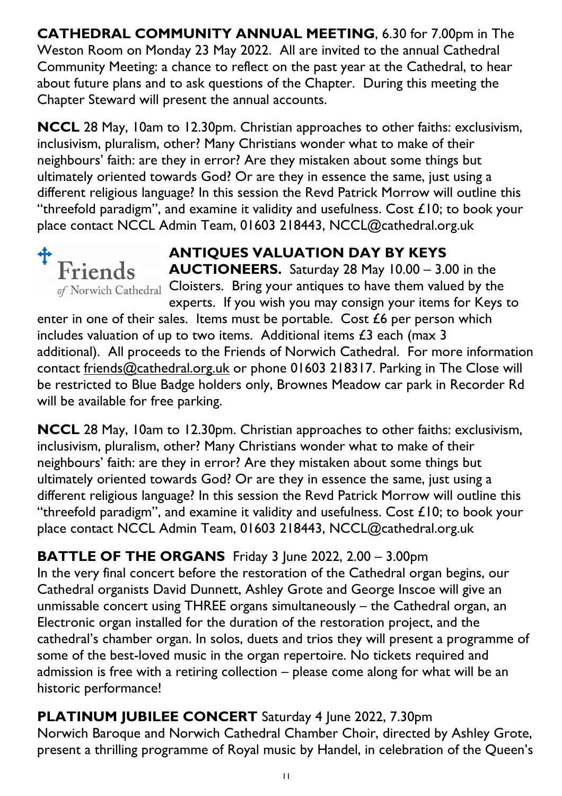CATHEDRAL COMMUNITY ANNUAL MEETING, 6.30 for 7.00pm in The Weston Room on Monday 23 May 2022. All are invited to the annual Cathedral Community Meeting: a chance to reflect on the past year at the Cathedral, to hear about future plans and to ask questions of the Chapter. During this meeting the Chapter Steward will present the annual accounts.

NCCL 28 May, 10am to 12.30pm. Christian approaches to other faiths: exclusivism, inclusivism, pluralism, other? Many Christians wonder what to make of their neighbours' faith: are they in error? Are they mistaken about some things but ultimately oriented towards God? Or are they in essence the same, just using a different religious language? In this session the Revd Patrick Morrow will outline this "threefold paradigm", and examine it validity and usefulness. Cost  $£10$ ; to book your place contact NCCL Admin Team, 01603 218443, NCCL@cathedral.org.uk



# ANTIQUES VALUATION DAY BY KEYS

AUCTIONEERS. Saturday 28 May 10.00 – 3.00 in the of Norwich Cathedral Cloisters. Bring your antiques to have them valued by the experts. If you wish you may consign your items for Keys to

enter in one of their sales. Items must be portable. Cost £6 per person which includes valuation of up to two items. Additional items £3 each (max 3 additional). All proceeds to the Friends of Norwich Cathedral. For more information contact friends@cathedral.org.uk or phone 01603 218317. Parking in The Close will be restricted to Blue Badge holders only, Brownes Meadow car park in Recorder Rd will be available for free parking.

NCCL 28 May, 10am to 12.30pm. Christian approaches to other faiths: exclusivism, inclusivism, pluralism, other? Many Christians wonder what to make of their neighbours' faith: are they in error? Are they mistaken about some things but ultimately oriented towards God? Or are they in essence the same, just using a different religious language? In this session the Revd Patrick Morrow will outline this "threefold paradigm", and examine it validity and usefulness. Cost £10; to book your place contact NCCL Admin Team, 01603 218443, NCCL@cathedral.org.uk

## BATTLE OF THE ORGANS Friday 3 June 2022, 2.00 - 3.00pm

In the very final concert before the restoration of the Cathedral organ begins, our Cathedral organists David Dunnett, Ashley Grote and George Inscoe will give an unmissable concert using THREE organs simultaneously – the Cathedral organ, an Electronic organ installed for the duration of the restoration project, and the cathedral's chamber organ. In solos, duets and trios they will present a programme of some of the best-loved music in the organ repertoire. No tickets required and admission is free with a retiring collection – please come along for what will be an historic performance!

PLATINUM JUBILEE CONCERT Saturday 4 June 2022, 7.30pm Norwich Baroque and Norwich Cathedral Chamber Choir, directed by Ashley Grote, present a thrilling programme of Royal music by Handel, in celebration of the Queen's